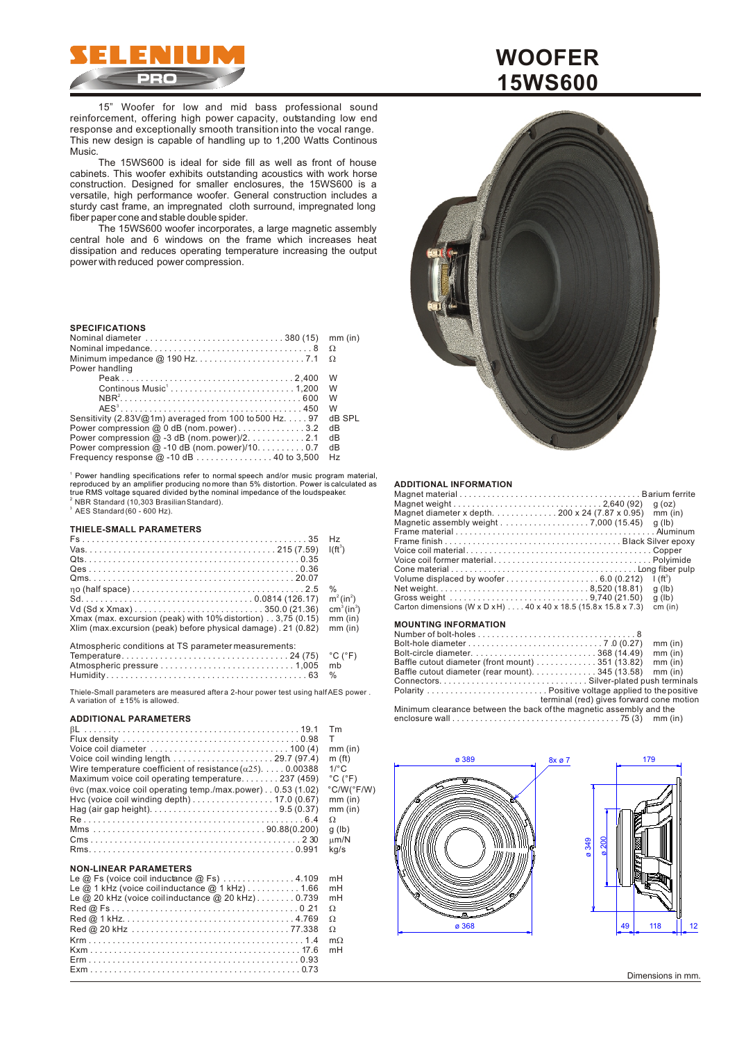

15" Woofer for low and mid bass professional sound reinforcement, offering high power capacity, outstanding low end response and exceptionally smooth transition into the vocal range. This new design is capable of handling up to 1,200 Watts Continous Music.

The 15WS600 is ideal for side fill as well as front of house cabinets. This woofer exhibits outstanding acoustics with work horse construction. Designed for smaller enclosures, the 15WS600 is a versatile, high performance woofer. General construction includes a sturdy cast frame, an impregnated cloth surround, impregnated long fiber paper cone and stable double spider.

The 15WS600 woofer incorporates, a large magnetic assembly central hole and 6 windows on the frame which increases heat dissipation and reduces operating temperature increasing the output power with reduced power compression.

### **SPECIFICATIONS**

|                                                                             | mm (in) |
|-----------------------------------------------------------------------------|---------|
|                                                                             |         |
|                                                                             |         |
| Power handling                                                              |         |
|                                                                             | W       |
|                                                                             | W       |
|                                                                             | W       |
|                                                                             | W       |
| Sensitivity $(2.83\sqrt{\omega}1m)$ averaged from 100 to 500 Hz. $\dots$ 97 | dB SPL  |
| Power compression @ $0$ dB (nom.power)3.2                                   | dB      |
| Power compression $@-3$ dB (nom.power)/2. 2.1                               | dВ      |
| Power compression $@$ -10 dB (nom.power)/100.7                              | dВ      |
| Frequency response $@-10 dB$ 40 to 3,500                                    | Hz      |

<sup>i</sup> Power handling specifications refer to normal speech and/or music program material,<br>reproduced by an amplifier producing no more than 5% distortion. Power is calculated as<br>true RMS voltage squared divided bythe nomina  $^{\rm 2}$  NBR Standard (10,303 Brasilian Standard).<br> $^{\rm 3}$  AES Standard (60 - 600 Hz).

#### **THIELE-SMALL PARAMETERS**

|                                                               | H <sub>z</sub>                     |
|---------------------------------------------------------------|------------------------------------|
|                                                               | $I(ft^3)$                          |
|                                                               |                                    |
|                                                               |                                    |
|                                                               |                                    |
|                                                               | %                                  |
|                                                               | $m^2$ (in <sup>2</sup> )           |
|                                                               | cm <sup>3</sup> (in <sup>3</sup> ) |
| Xmax (max. excursion (peak) with 10% distortion) 3,75 (0.15)  | $mm$ (in)                          |
| Xlim (max.excursion (peak) before physical damage). 21 (0.82) | $mm$ (in)                          |
| Atmospheric conditions at TS parameter measurements:          |                                    |

Thiele-Small parameters are measured after a 2-hour power test using half AES power. A variation of ± 15% is allowed.

#### **ADDITIONAL PARAMETERS**

| Tm                           |
|------------------------------|
| т                            |
| $mm$ (in)                    |
| m(f <sub>t</sub> )           |
| $1$ <sup>o</sup> $\sim$      |
| $^{\circ}$ C ( $^{\circ}$ F) |
| $°C/W(^{\circ}F/W)$          |
| $mm$ (in)                    |
| $mm$ (in)                    |
|                              |
| g(h)                         |
| m/N                          |
| ka/s                         |
|                              |

#### **NON-LINEAR PARAMETERS**

| Le $@$ Fs (voice coil inductance $@$ Fs) $\ldots \ldots \ldots \ldots 4.109$ | mH |
|------------------------------------------------------------------------------|----|
| Le $@$ 1 kHz (voice coilinductance $@$ 1 kHz)  1.66                          | mH |
| Le $@$ 20 kHz (voice coilinductance $@$ 20 kHz)0.739                         | mH |
|                                                                              |    |
|                                                                              |    |
|                                                                              |    |
|                                                                              | m  |
|                                                                              | mH |
|                                                                              |    |
|                                                                              |    |

# **WOOFER 15WS600**



#### **ADDITIONAL INFORMATION**

|                                                                                                                              | $q$ (oz)      |
|------------------------------------------------------------------------------------------------------------------------------|---------------|
| Magnet diameter x depth. 200 x 24 (7.87 x 0.95)                                                                              | $mm$ (in)     |
| Magnetic assembly weight $\ldots \ldots \ldots \ldots \ldots \ldots$ 7,000 (15.45)                                           | $q$ (lb)      |
|                                                                                                                              |               |
|                                                                                                                              |               |
|                                                                                                                              |               |
|                                                                                                                              |               |
|                                                                                                                              |               |
|                                                                                                                              | $\int (ft^3)$ |
|                                                                                                                              | $q$ (lb)      |
|                                                                                                                              | $q$ (lb)      |
| Carton dimensions (W x D x H) $\dots$ 40 x 40 x 18.5 (15.8 x 15.8 x 7.3)                                                     | cm (in)       |
| $\mathbf{M} \cap \mathbf{M} \cap \mathbf{M} \cap \mathbf{M} \cap \mathbf{M} \cap \mathbf{M} \cap \mathbf{M} \cap \mathbf{M}$ |               |

#### **MOUNTING INFORMATION**

|                                                                                         |                                          | mm (in)   |
|-----------------------------------------------------------------------------------------|------------------------------------------|-----------|
|                                                                                         |                                          | $mm$ (in) |
| Baffle cutout diameter (front mount) $\ldots \ldots \ldots \ldots$ 351 (13.82)          |                                          | $mm$ (in) |
| Baffle cutout diameter (rear mount). 345 (13.58) mm (in)                                |                                          |           |
|                                                                                         |                                          |           |
|                                                                                         |                                          |           |
|                                                                                         | terminal (red) gives forward cone motion |           |
| Minimum clearance between the back of the magnetic assembly and the                     |                                          |           |
| enclosure wall $\dots\dots\dots\dots\dots\dots\dots\dots\dots\dots\dots$ 75 (3) mm (in) |                                          |           |



Dimensions in mm.